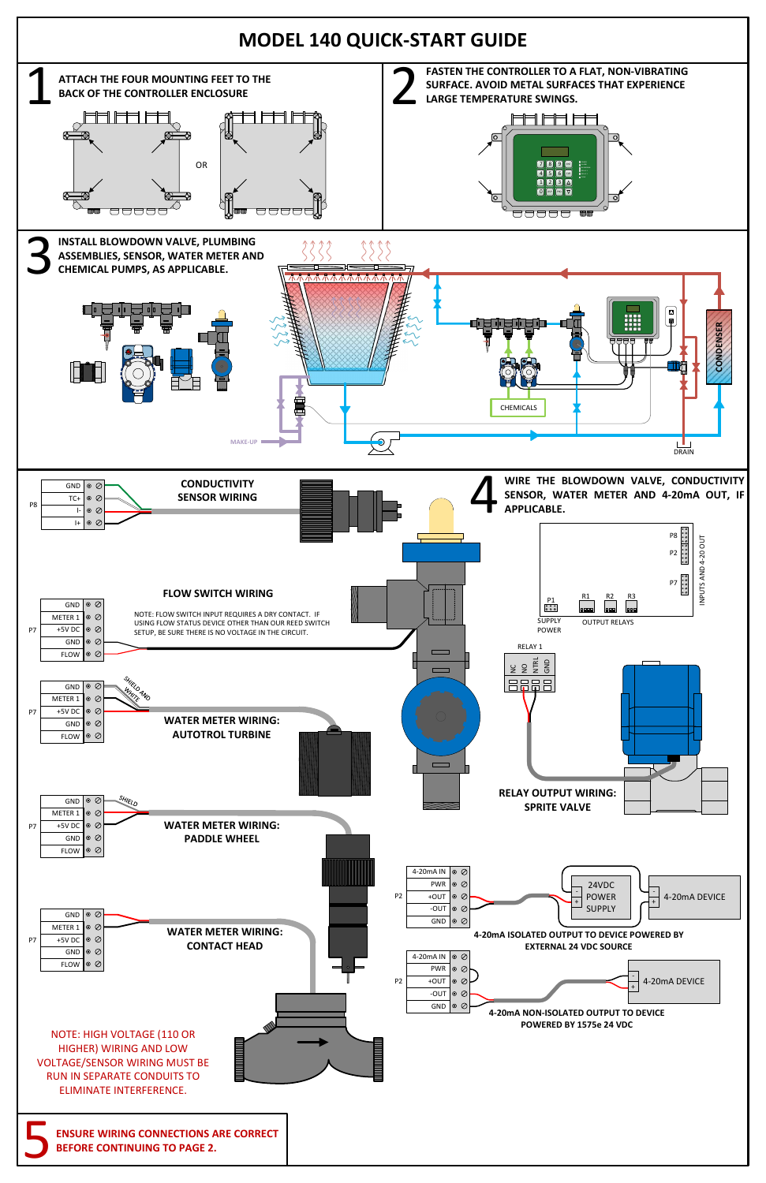